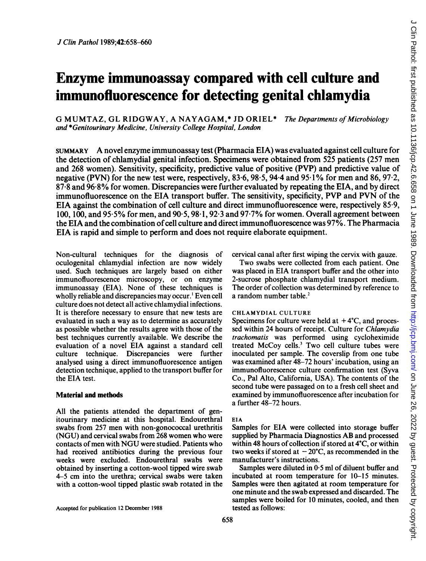# Enzyme immunoassay compared with cell culture and immunofluorescence for detecting genital chlamydia

G MUMTAZ, GL RIDGWAY, A NAYAGAM,\* JD ORIEL\* The Departments of Microbiology and \*Genitourinary Medicine, University College Hospital, London

SUMMARY A novel enzyme immunoassay test (Pharmacia EIA) was evaluated against cell culture for the detection of chlamydial genital infection. Specimens were obtained from 525 patients (257 men and 268 women). Sensitivity, specificity, predictive value of positive (PVP) and predictive value of negative (PVN) for the new test were, respectively, 83.6, 98.5, 94.4 and 95.1% for men and 86, 97.2, 87-8 and 96-8% for women. Discrepancies were further evaluated by repeating the EIA, and by direct immunofluorescence on the EIA transport buffer. The sensitivity, specificity, PVP and PVN of the EIA against the combination of cell culture and direct immunofluorescence were, respectively 85 9, 100, 100, and <sup>95</sup> <sup>5</sup> % for men, and <sup>90</sup> 5, <sup>98</sup>-1, 92-3 and <sup>97</sup> <sup>7</sup>% for women. Overall agreement between the EIA and the combination ofcell culture and direct immunofluorescence was 97%. The Pharmacia EIA is rapid and simple to perform and does not require elaborate equipment.

Non-cultural techniques for the diagnosis of oculogenital chlamydial infection are now widely used. Such techniques are largely based on either immunofluorescence microscopy, or on enzyme immunoassay (EIA). None of these techniques is wholly reliable and discrepancies may occur.' Even cell culture does not detect all active chlamydial infections. It is therefore necessary to ensure that new tests are evaluated in such a way as to determine as accurately as possible whether the results agree with those of the best techniques currently available. We describe the evaluation of a novel EIA against a standard cell culture technique. Discrepancies were further analysed using a direct immunofluorescence antigen detection technique, applied to the transport buffer for the EIA test.

# Material and methods

All the patients attended the department of genitourinary medicine at this hospital. Endourethral swabs from 257 men with non-gonococcal urethritis (NGU) and cervical swabs from 268 women who were contacts of men with NGU were studied. Patients who had received antibiotics during the previous four weeks were excluded. Endourethral swabs were obtained by inserting a cotton-wool tipped wire swab 4-5 cm into the urethra; cervical swabs were taken with a cotton-wool tipped plastic swab rotated in the

Accepted for publication 12 December 1988

cervical canal after first wiping the cervix with gauze.

Two swabs were collected from each patient. One was placed in EIA transport buffer and the other into 2-sucrose phosphate chlamydial transport medium. The order of collection was determined by reference to a random number table.<sup>2</sup>

# CHLAMYDIAL CULTURE

Specimens for culture were held at  $+4^{\circ}$ C, and processed within 24 hours of receipt. Culture for Chiamydia trachomatis was performed using cycloheximide treated McCoy cells.<sup>3</sup> Two cell culture tubes were inoculated per sample. The coverslip from one tube was examined after 48-72 hours' incubation, using an immunofluorescence culture confirmation test (Syva Co., Pal Alto, California, USA). The contents of the second tube were passaged on to a fresh cell sheet and examined by immunofluorescence after incubation for a further 48-72 hours.

# EIA

Samples for EIA were collected into storage buffer supplied by Pharmacia Diagnostics AB and processed within 48 hours of collection if stored at  $4^{\circ}$ C, or within two weeks if stored at  $-20^{\circ}$ C, as recommended in the manufacturer's instructions.

Samples were diluted in 0-5 ml of diluent buffer and incubated at room temperature for 10-15 minutes. Samples were then agitated at room temperature for one minute and the swab expressed and discarded. The samples were boiled for 10 minutes, cooled, and then tested as follows: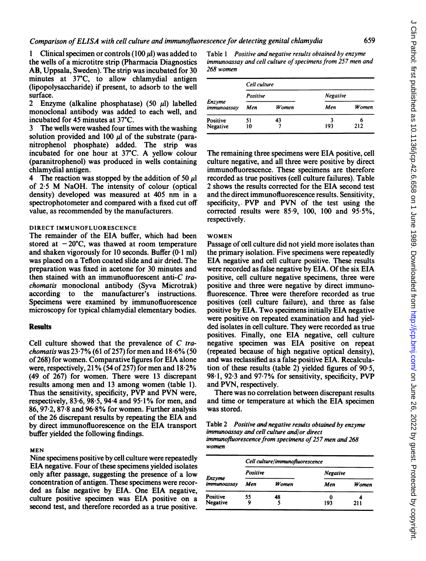1 Clinical specimen or controls (100  $\mu$ I) was added to the wells of a microtitre strip (Pharmacia Diagnostics AB, Uppsala, Sweden). The strip was incubated for 30 minutes at 37'C, to allow chlamydial antigen (lipopolysaccharide) if present, to adsorb to the well surface.

2 Enzyme (alkaline phosphatase) (50  $\mu$ l) labelled monoclonal antibody was added to each well, and incubated for 45 minutes at 37°C.

3 The wells were washed four times with the washing solution provided and  $100 \mu l$  of the substrate (paranitrophenol phosphate) added. The strip was incubated for one hour at 37C. A yellow colour (paranitrophenol) was produced in wells containing chlamydial antigen.

4 The reaction was stopped by the addition of 50  $\mu$ l of 2-5 M NaOH. The intensity of colour (optical density) developed was measured at 405 nm in <sup>a</sup> spectrophotometer and compared with a fixed cut off value, as recommended by the manufacturers.

### DIRECT IMMUNOFLUORESCENCE

The remainder of the EIA buffer, which had been stored at  $-20^{\circ}$ C, was thawed at room temperature and shaken vigorously for 10 seconds. Buffer  $(0.1 \text{ ml})$ was placed on a Teflon coated slide and air dried. The preparation was fixed in acetone for 30 minutes and then stained with an immunofluorescent anti-C trachomatis monoclonal antibody (Syva Microtrak) according to the manufacturer's instructions. Specimens were examined by immunofluorescence microscopy for typical chlamydial elementary bodies.

#### **Results**

Cell culture showed that the prevalence of C tra*chomatis* was  $23.7\%$  (61 of 257) for men and  $18.6\%$  (50 of 268) for women. Comparative figures for EIA alone were, respectively, 21% (54 of 257) for men and  $18.2\%$ (49 of 267) for women. There were 13 discrepant results among men and <sup>13</sup> among women (table 1). Thus the sensitivity, specificity, PVP and PVN were, respectively, 83.6, 98.5, 94.4 and 95.1% for men, and 86, 97 2, 87'8 and 96-8% for women. Further analysis of the 26 discrepant results by repeating the EIA and by direct immunofluorescence on the EIA transport buffer yielded the following findings.

#### MEN

Nine specimens positive by cell culture were repeatedly EIA negative. Four of these specimens yielded isolates only after passage, suggesting the presence of a low concentration of antigen. These specimens were recorded as false negative by EIA. One EIA negative, culture positive specimen was EIA positive on a second test, and therefore recorded as a true positive.

Table <sup>1</sup> Positive and negative results obtained by enzyme immunoassay and cell culture of specimens from 257 men and 268 women

| Enzyme<br>immunoassay | Cell culture |              |                 |          |  |
|-----------------------|--------------|--------------|-----------------|----------|--|
|                       | Positive     |              | <b>Negative</b> |          |  |
|                       | Men          | <b>Women</b> | Men             | Women    |  |
| Positive<br>Negative  | 51<br>10     | 43           | 1<br>193        | 6<br>212 |  |

The remaining three specimens were EIA positive, cell culture negative, and all three were positive by direct immunofluorescence. These specimens are therefore recorded as true positives (cell culture failures). Table 2 shows the results corrected for the EIA second test and the direct immunofluorescence results. Sensitivity, specificity,. PVP and PVN of the test using the corrected results were  $85.9$ ,  $100$ ,  $100$  and  $95.5\%$ , respectively.

#### WOMEN

Passage of cell culture did not yield more isolates than the primary isolation. Five specimens were repeatedly EIA negative and cell culture positive. These results were recorded as false negative by EIA. Of the six EIA positive, cell culture negative specimens, three were positive and three were negative by direct immunofluorescence. Three were therefore recorded as true positives (cell culture failure), and three as false positive by EIA. Two specimens initially EIA negative were positive on repeated examination and had yielded isolates in cell culture. They were recorded as true positives. Finally, one EIA negative, cell culture negative specimen was EIA positive on repeat (repeated because of high negative optical density), and was reclassified as a false positive EIA. Recalculation of these results (table 2) yielded figures of  $90.5$ , 98-1, 92-3 and <sup>97</sup> 7% for sensitivity, specificity, PVP and PVN, respectively.

There was no correlation between discrepant results and time or temperature at which the EIA specimen was stored.

Table 2 Positive and negative results obtained by enzyme immunoassay and cell culture and/or direct immunofluorescence from specimens of 257 men and 268 women

| Enzyme<br>immunoassav | Cell culture/immunofluorescence |       |                 |       |  |
|-----------------------|---------------------------------|-------|-----------------|-------|--|
|                       | Positive                        |       | <b>Negative</b> |       |  |
|                       | Men                             | Women | Men             | Women |  |
| Positive<br>Negative  | 55                              | 48    | 0<br>193        | 211   |  |